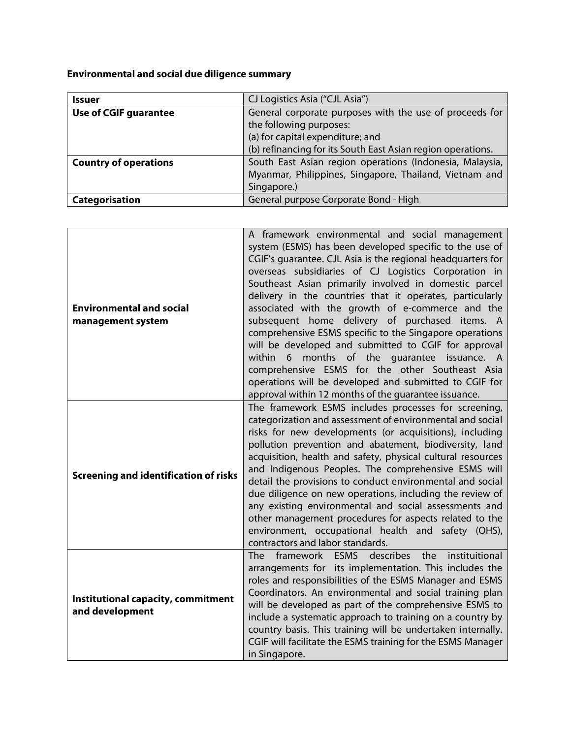**Environmental and social due diligence summary**

| <b>Issuer</b>                | CJ Logistics Asia ("CJL Asia")                              |
|------------------------------|-------------------------------------------------------------|
| <b>Use of CGIF guarantee</b> | General corporate purposes with the use of proceeds for     |
|                              | the following purposes:                                     |
|                              | (a) for capital expenditure; and                            |
|                              | (b) refinancing for its South East Asian region operations. |
| <b>Country of operations</b> | South East Asian region operations (Indonesia, Malaysia,    |
|                              | Myanmar, Philippines, Singapore, Thailand, Vietnam and      |
|                              | Singapore.)                                                 |
| Categorisation               | General purpose Corporate Bond - High                       |

| <b>Environmental and social</b><br>management system  | A framework environmental and social management<br>system (ESMS) has been developed specific to the use of<br>CGIF's quarantee. CJL Asia is the regional headquarters for<br>overseas subsidiaries of CJ Logistics Corporation in<br>Southeast Asian primarily involved in domestic parcel<br>delivery in the countries that it operates, particularly<br>associated with the growth of e-commerce and the<br>subsequent home delivery of purchased items. A<br>comprehensive ESMS specific to the Singapore operations<br>will be developed and submitted to CGIF for approval<br>months of the guarantee<br>within<br>6<br>issuance. A<br>comprehensive ESMS for the other Southeast Asia<br>operations will be developed and submitted to CGIF for<br>approval within 12 months of the guarantee issuance. |
|-------------------------------------------------------|---------------------------------------------------------------------------------------------------------------------------------------------------------------------------------------------------------------------------------------------------------------------------------------------------------------------------------------------------------------------------------------------------------------------------------------------------------------------------------------------------------------------------------------------------------------------------------------------------------------------------------------------------------------------------------------------------------------------------------------------------------------------------------------------------------------|
| <b>Screening and identification of risks</b>          | The framework ESMS includes processes for screening,<br>categorization and assessment of environmental and social<br>risks for new developments (or acquisitions), including<br>pollution prevention and abatement, biodiversity, land<br>acquisition, health and safety, physical cultural resources<br>and Indigenous Peoples. The comprehensive ESMS will<br>detail the provisions to conduct environmental and social<br>due diligence on new operations, including the review of<br>any existing environmental and social assessments and<br>other management procedures for aspects related to the<br>environment, occupational health and safety (OHS),<br>contractors and labor standards.                                                                                                            |
| Institutional capacity, commitment<br>and development | ESMS describes<br>framework<br><b>The</b><br>the<br>instituitional<br>arrangements for its implementation. This includes the<br>roles and responsibilities of the ESMS Manager and ESMS<br>Coordinators. An environmental and social training plan<br>will be developed as part of the comprehensive ESMS to<br>include a systematic approach to training on a country by<br>country basis. This training will be undertaken internally.<br>CGIF will facilitate the ESMS training for the ESMS Manager<br>in Singapore.                                                                                                                                                                                                                                                                                      |